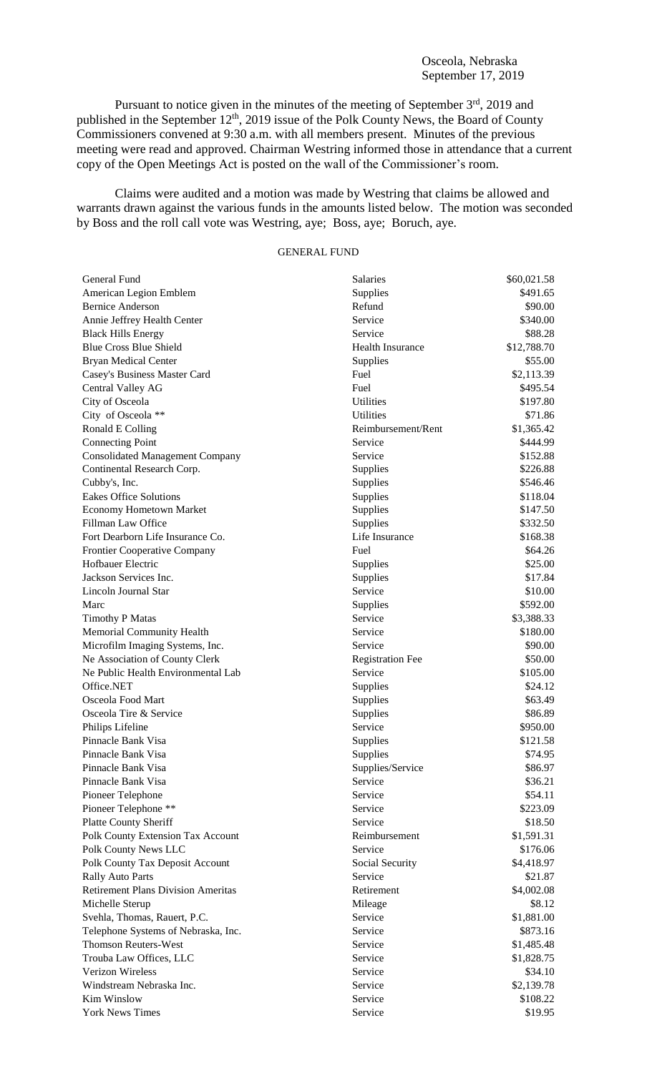Pursuant to notice given in the minutes of the meeting of September 3<sup>rd</sup>, 2019 and published in the September 12<sup>th</sup>, 2019 issue of the Polk County News, the Board of County Commissioners convened at 9:30 a.m. with all members present. Minutes of the previous meeting were read and approved. Chairman Westring informed those in attendance that a current copy of the Open Meetings Act is posted on the wall of the Commissioner's room.

Claims were audited and a motion was made by Westring that claims be allowed and warrants drawn against the various funds in the amounts listed below. The motion was seconded by Boss and the roll call vote was Westring, aye; Boss, aye; Boruch, aye.

## GENERAL FUND

| General Fund                              | <b>Salaries</b>         | \$60,021.58              |
|-------------------------------------------|-------------------------|--------------------------|
| American Legion Emblem                    | Supplies                | \$491.65                 |
| <b>Bernice Anderson</b>                   | Refund                  | \$90.00                  |
| Annie Jeffrey Health Center               | Service                 | \$340.00                 |
| <b>Black Hills Energy</b>                 | Service                 | \$88.28                  |
| <b>Blue Cross Blue Shield</b>             | <b>Health Insurance</b> | \$12,788.70              |
| <b>Bryan Medical Center</b>               | Supplies                | \$55.00                  |
| Casey's Business Master Card              | Fuel                    | \$2,113.39               |
| Central Valley AG                         | Fuel                    | \$495.54                 |
| City of Osceola                           | Utilities               | \$197.80                 |
| City of Osceola **                        | Utilities               | \$71.86                  |
| Ronald E Colling                          | Reimbursement/Rent      | \$1,365.42               |
| <b>Connecting Point</b>                   | Service                 | \$444.99                 |
| <b>Consolidated Management Company</b>    | Service                 | \$152.88                 |
| Continental Research Corp.                | Supplies                | \$226.88                 |
| Cubby's, Inc.                             | Supplies                | \$546.46                 |
| <b>Eakes Office Solutions</b>             | Supplies                | \$118.04                 |
| <b>Economy Hometown Market</b>            | Supplies                | \$147.50                 |
| Fillman Law Office                        | Supplies                | \$332.50                 |
| Fort Dearborn Life Insurance Co.          | Life Insurance          | \$168.38                 |
| <b>Frontier Cooperative Company</b>       | Fuel                    | \$64.26                  |
| Hofbauer Electric                         | Supplies                | \$25.00                  |
| Jackson Services Inc.                     | Supplies                | \$17.84                  |
| Lincoln Journal Star                      | Service                 | \$10.00                  |
| Marc                                      | Supplies                | \$592.00                 |
| <b>Timothy P Matas</b>                    | Service                 | \$3,388.33               |
| Memorial Community Health                 | Service                 | \$180.00                 |
| Microfilm Imaging Systems, Inc.           | Service                 | \$90.00                  |
| Ne Association of County Clerk            | <b>Registration Fee</b> | \$50.00                  |
| Ne Public Health Environmental Lab        | Service                 | \$105.00                 |
| Office.NET                                | Supplies                | \$24.12                  |
| Osceola Food Mart                         | Supplies                | \$63.49                  |
| Osceola Tire & Service                    | Supplies                | \$86.89                  |
| Philips Lifeline                          | Service                 | \$950.00                 |
| Pinnacle Bank Visa                        | Supplies                | \$121.58                 |
| Pinnacle Bank Visa                        | Supplies                | \$74.95                  |
| Pinnacle Bank Visa                        | Supplies/Service        | \$86.97                  |
| Pinnacle Bank Visa                        | Service                 | \$36.21                  |
| Pioneer Telephone                         | Service                 | \$54.11                  |
| Pioneer Telephone **                      | Service                 | \$223.09                 |
| <b>Platte County Sheriff</b>              | Service                 | \$18.50                  |
| Polk County Extension Tax Account         | Reimbursement           | \$1,591.31               |
| Polk County News LLC                      | Service                 | \$176.06                 |
| Polk County Tax Deposit Account           | Social Security         | \$4,418.97               |
| <b>Rally Auto Parts</b>                   | Service                 | \$21.87                  |
| <b>Retirement Plans Division Ameritas</b> | Retirement              | \$4,002.08               |
| Michelle Sterup                           | Mileage                 | \$8.12                   |
| Svehla, Thomas, Rauert, P.C.              | Service                 | \$1,881.00               |
| Telephone Systems of Nebraska, Inc.       | Service                 | \$873.16                 |
| <b>Thomson Reuters-West</b>               | Service                 |                          |
| Trouba Law Offices, LLC                   | Service                 | \$1,485.48<br>\$1,828.75 |
| <b>Verizon Wireless</b>                   | Service                 | \$34.10                  |
| Windstream Nebraska Inc.                  | Service                 | \$2,139.78               |
| <b>Kim Winslow</b>                        |                         |                          |
|                                           | Service                 | \$108.22                 |
| <b>York News Times</b>                    | Service                 | \$19.95                  |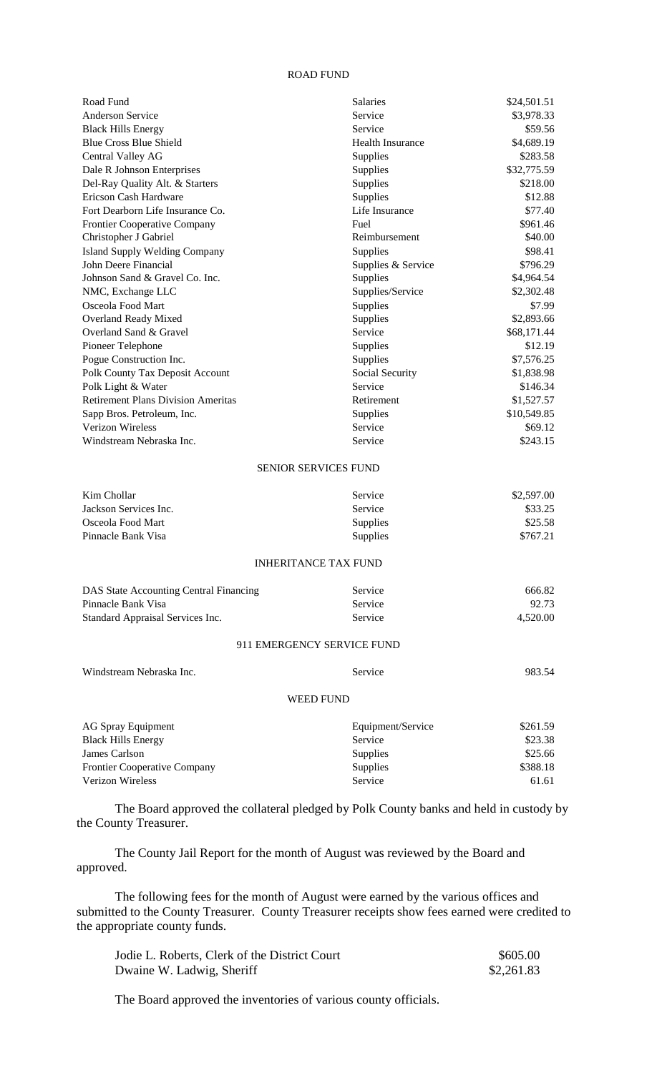## ROAD FUND

| Road Fund                                 | <b>Salaries</b>             | \$24,501.51 |
|-------------------------------------------|-----------------------------|-------------|
| <b>Anderson Service</b>                   | Service                     | \$3,978.33  |
| <b>Black Hills Energy</b>                 | Service                     | \$59.56     |
| <b>Blue Cross Blue Shield</b>             | <b>Health Insurance</b>     | \$4,689.19  |
| Central Valley AG                         | Supplies                    | \$283.58    |
| Dale R Johnson Enterprises                | Supplies                    | \$32,775.59 |
| Del-Ray Quality Alt. & Starters           | Supplies                    | \$218.00    |
| Ericson Cash Hardware                     | Supplies                    | \$12.88     |
| Fort Dearborn Life Insurance Co.          | Life Insurance              | \$77.40     |
| Frontier Cooperative Company              | Fuel                        | \$961.46    |
| Christopher J Gabriel                     | Reimbursement               | \$40.00     |
| <b>Island Supply Welding Company</b>      | Supplies                    | \$98.41     |
| John Deere Financial                      | Supplies & Service          | \$796.29    |
| Johnson Sand & Gravel Co. Inc.            | Supplies                    | \$4,964.54  |
| NMC, Exchange LLC                         | Supplies/Service            | \$2,302.48  |
| Osceola Food Mart                         | Supplies                    | \$7.99      |
| Overland Ready Mixed                      | Supplies                    | \$2,893.66  |
| Overland Sand & Gravel                    | Service                     | \$68,171.44 |
| Pioneer Telephone                         | Supplies                    | \$12.19     |
| Pogue Construction Inc.                   | Supplies                    | \$7,576.25  |
| Polk County Tax Deposit Account           | Social Security             | \$1,838.98  |
| Polk Light & Water                        | Service                     | \$146.34    |
| <b>Retirement Plans Division Ameritas</b> | Retirement                  | \$1,527.57  |
| Sapp Bros. Petroleum, Inc.                | Supplies                    | \$10,549.85 |
| <b>Verizon Wireless</b>                   | Service                     | \$69.12     |
| Windstream Nebraska Inc.                  | Service                     | \$243.15    |
|                                           | <b>SENIOR SERVICES FUND</b> |             |
| Kim Chollar                               | Service                     | \$2,597.00  |
| Jackson Services Inc.                     | Service                     | \$33.25     |
| Osceola Food Mart                         | Supplies                    | \$25.58     |
| Pinnacle Bank Visa                        | Supplies                    | \$767.21    |
|                                           | <b>INHERITANCE TAX FUND</b> |             |
| DAS State Accounting Central Financing    | Service                     | 666.82      |
| Pinnacle Bank Visa                        | Service                     | 92.73       |
| Standard Appraisal Services Inc.          | Service                     | 4,520.00    |
|                                           | 911 EMERGENCY SERVICE FUND  |             |
| Windstream Nebraska Inc.                  | Service                     | 983.54      |
|                                           | <b>WEED FUND</b>            |             |
| <b>AG Spray Equipment</b>                 | Equipment/Service           | \$261.59    |
| <b>Black Hills Energy</b>                 | Service                     | \$23.38     |
| James Carlson                             | Supplies                    | \$25.66     |
| Frontier Cooperative Company              | Supplies                    | \$388.18    |
| Verizon Wireless                          | Service                     | 61.61       |
|                                           |                             |             |

The Board approved the collateral pledged by Polk County banks and held in custody by the County Treasurer.

The County Jail Report for the month of August was reviewed by the Board and approved.

The following fees for the month of August were earned by the various offices and submitted to the County Treasurer. County Treasurer receipts show fees earned were credited to the appropriate county funds.

| Jodie L. Roberts, Clerk of the District Court | \$605.00   |
|-----------------------------------------------|------------|
| Dwaine W. Ladwig, Sheriff                     | \$2,261.83 |

The Board approved the inventories of various county officials.